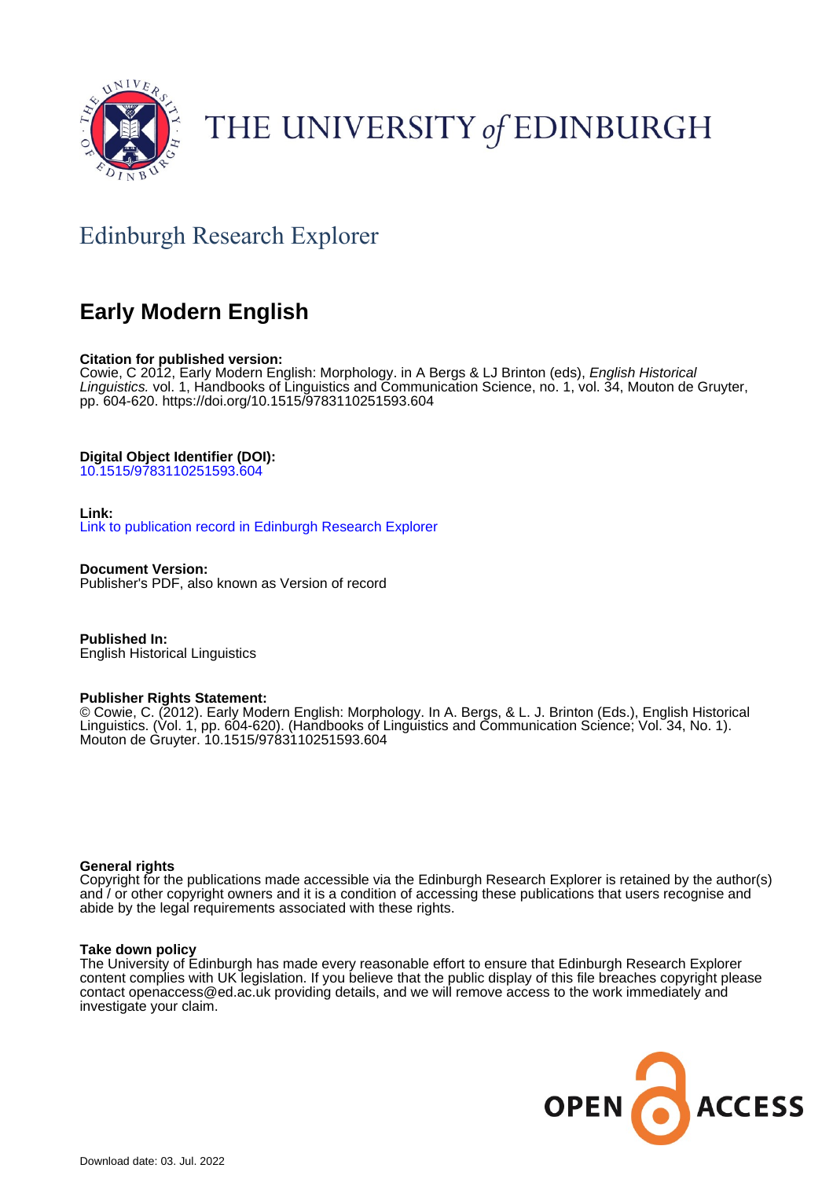

# THE UNIVERSITY of EDINBURGH

## Edinburgh Research Explorer

### **Early Modern English**

#### **Citation for published version:**

Cowie, C 2012, Early Modern English: Morphology. in A Bergs & LJ Brinton (eds), English Historical Linguistics. vol. 1, Handbooks of Linguistics and Communication Science, no. 1, vol. 34, Mouton de Gruyter, pp. 604-620. <https://doi.org/10.1515/9783110251593.604>

#### **Digital Object Identifier (DOI):**

[10.1515/9783110251593.604](https://doi.org/10.1515/9783110251593.604)

#### **Link:**

[Link to publication record in Edinburgh Research Explorer](https://www.research.ed.ac.uk/en/publications/aa697ca8-f0e3-4f77-b5d7-8d7e3e3626de)

**Document Version:** Publisher's PDF, also known as Version of record

**Published In:** English Historical Linguistics

#### **Publisher Rights Statement:**

© Cowie, C. (2012). Early Modern English: Morphology. In A. Bergs, & L. J. Brinton (Eds.), English Historical Linguistics. (Vol. 1, pp. 604-620). (Handbooks of Linguistics and Communication Science; Vol. 34, No. 1). Mouton de Gruyter. 10.1515/9783110251593.604

#### **General rights**

Copyright for the publications made accessible via the Edinburgh Research Explorer is retained by the author(s) and / or other copyright owners and it is a condition of accessing these publications that users recognise and abide by the legal requirements associated with these rights.

#### **Take down policy**

The University of Edinburgh has made every reasonable effort to ensure that Edinburgh Research Explorer content complies with UK legislation. If you believe that the public display of this file breaches copyright please contact openaccess@ed.ac.uk providing details, and we will remove access to the work immediately and investigate your claim.

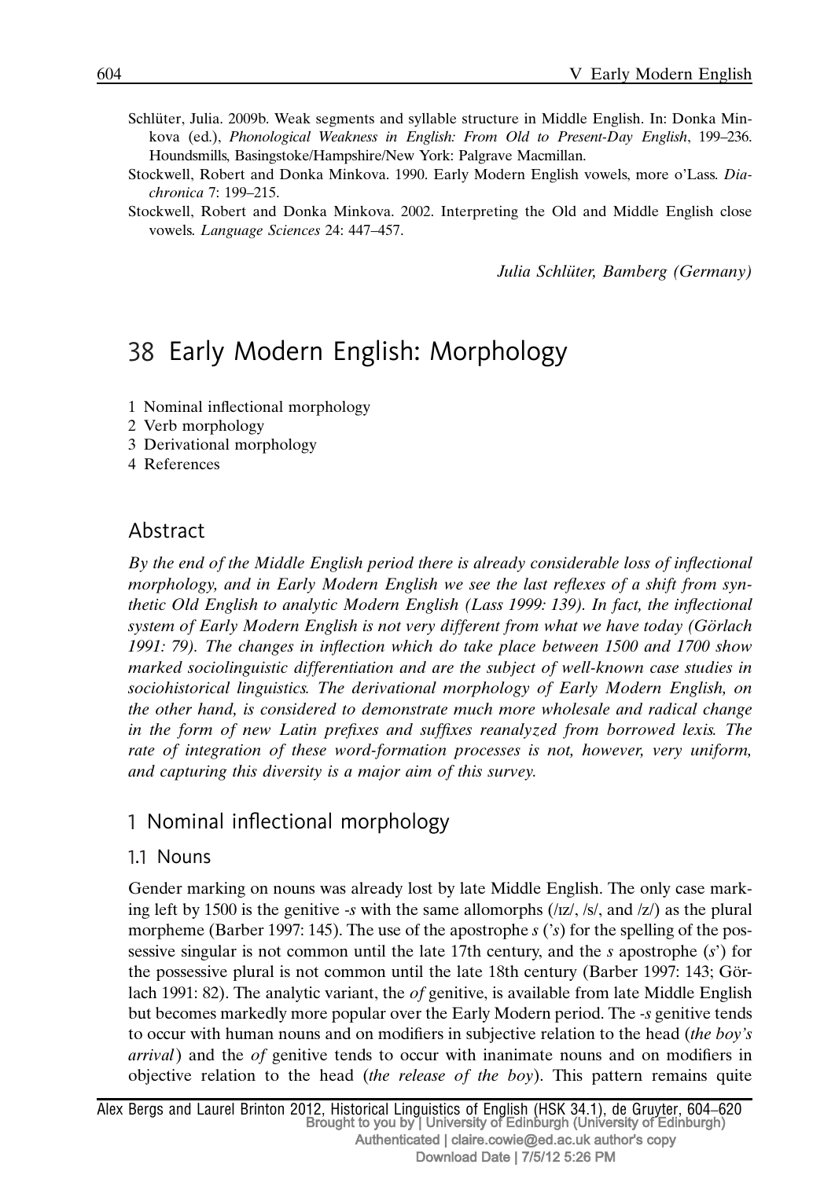- Schlüter, Julia. 2009b. Weak segments and syllable structure in Middle English. In: Donka Minkova (ed.), Phonological Weakness in English: From Old to Present-Day English, 199–236. Houndsmills, Basingstoke/Hampshire/New York: Palgrave Macmillan.
- Stockwell, Robert and Donka Minkova. 1990. Early Modern English vowels, more o'Lass. Diachronica 7: 199–215.
- Stockwell, Robert and Donka Minkova. 2002. Interpreting the Old and Middle English close vowels. Language Sciences 24: 447–457.

Julia Schlüter, Bamberg (Germany)

### 38 Early Modern English: Morphology

- 1 Nominal inflectional morphology
- 2 Verb morphology
- 3 Derivational morphology
- 4 References

#### Abstract

By the end of the Middle English period there is already considerable loss of inflectional morphology, and in Early Modern English we see the last reflexes of a shift from synthetic Old English to analytic Modern English (Lass 1999: 139). In fact, the inflectional system of Early Modern English is not very different from what we have today (Görlach 1991: 79). The changes in inflection which do take place between 1500 and 1700 show marked sociolinguistic differentiation and are the subject of well-known case studies in sociohistorical linguistics. The derivational morphology of Early Modern English, on the other hand, is considered to demonstrate much more wholesale and radical change in the form of new Latin prefixes and suffixes reanalyzed from borrowed lexis. The rate of integration of these word-formation processes is not, however, very uniform, and capturing this diversity is a major aim of this survey.

#### 1 Nominal inflectional morphology

#### 1.1 Nouns

Gender marking on nouns was already lost by late Middle English. The only case marking left by 1500 is the genitive -s with the same allomorphs  $\frac{1}{z}$ ,  $\frac{1}{s}$ , and  $\frac{1}{z}$ ) as the plural morpheme (Barber 1997: 145). The use of the apostrophe s  $('s)$  for the spelling of the possessive singular is not common until the late 17th century, and the s apostrophe  $(s')$  for the possessive plural is not common until the late 18th century (Barber 1997: 143; Görlach 1991: 82). The analytic variant, the *of* genitive, is available from late Middle English but becomes markedly more popular over the Early Modern period. The -s genitive tends to occur with human nouns and on modifiers in subjective relation to the head (the boy's arrival) and the of genitive tends to occur with inanimate nouns and on modifiers in objective relation to the head *(the release of the boy)*. This pattern remains quite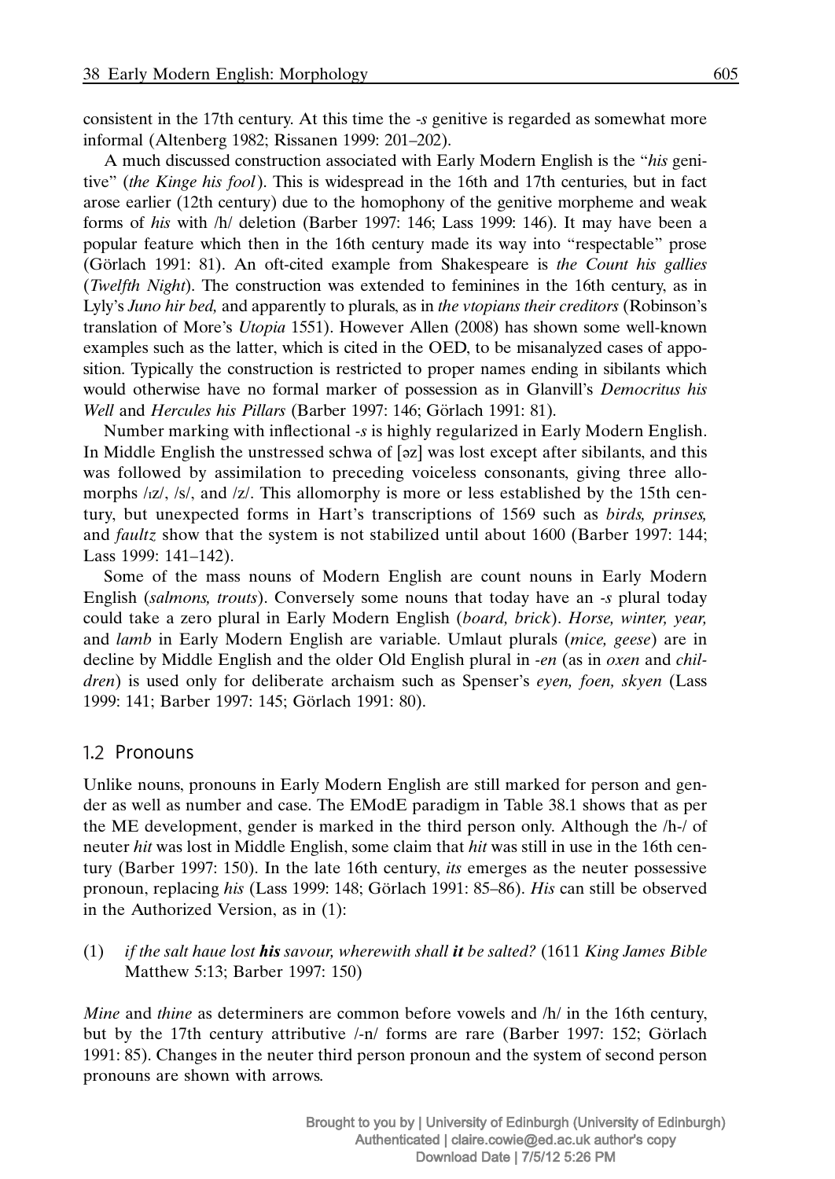consistent in the 17th century. At this time the -s genitive is regarded as somewhat more informal (Altenberg 1982; Rissanen 1999: 201–202).

A much discussed construction associated with Early Modern English is the "his genitive" (the Kinge his fool). This is widespread in the 16th and 17th centuries, but in fact arose earlier (12th century) due to the homophony of the genitive morpheme and weak forms of his with /h/ deletion (Barber 1997: 146; Lass 1999: 146). It may have been a popular feature which then in the 16th century made its way into "respectable" prose (Görlach 1991: 81). An oft-cited example from Shakespeare is the Count his gallies (Twelfth Night). The construction was extended to feminines in the 16th century, as in Lyly's *Juno hir bed*, and apparently to plurals, as in *the vtopians their creditors* (Robinson's translation of More's Utopia 1551). However Allen (2008) has shown some well-known examples such as the latter, which is cited in the OED, to be misanalyzed cases of apposition. Typically the construction is restricted to proper names ending in sibilants which would otherwise have no formal marker of possession as in Glanvill's Democritus his Well and Hercules his Pillars (Barber 1997: 146; Görlach 1991: 81).

Number marking with inflectional -s is highly regularized in Early Modern English. In Middle English the unstressed schwa of [əz] was lost except after sibilants, and this was followed by assimilation to preceding voiceless consonants, giving three allomorphs  $\frac{1}{z}$ ,  $\frac{s}{s}$ , and  $\frac{z}{z}$ . This allomorphy is more or less established by the 15th century, but unexpected forms in Hart's transcriptions of 1569 such as birds, prinses, and faultz show that the system is not stabilized until about 1600 (Barber 1997: 144; Lass 1999: 141–142).

Some of the mass nouns of Modern English are count nouns in Early Modern English (salmons, trouts). Conversely some nouns that today have an -s plural today could take a zero plural in Early Modern English (board, brick). Horse, winter, year, and lamb in Early Modern English are variable. Umlaut plurals (mice, geese) are in decline by Middle English and the older Old English plural in -en (as in oxen and children) is used only for deliberate archaism such as Spenser's eyen, foen, skyen (Lass 1999: 141; Barber 1997: 145; Görlach 1991: 80).

#### 1.2 Pronouns

Unlike nouns, pronouns in Early Modern English are still marked for person and gender as well as number and case. The EModE paradigm in Table 38.1 shows that as per the ME development, gender is marked in the third person only. Although the /h-/ of neuter hit was lost in Middle English, some claim that hit was still in use in the 16th century (Barber 1997: 150). In the late 16th century, its emerges as the neuter possessive pronoun, replacing his (Lass 1999: 148; Görlach 1991: 85–86). His can still be observed in the Authorized Version, as in (1):

(1) if the salt haue lost **his** savour, wherewith shall it be salted? (1611 King James Bible Matthew 5:13; Barber 1997: 150)

Mine and thine as determiners are common before vowels and /h/ in the 16th century, but by the 17th century attributive  $\ell$ -n/ forms are rare (Barber 1997: 152; Görlach 1991: 85). Changes in the neuter third person pronoun and the system of second person pronouns are shown with arrows.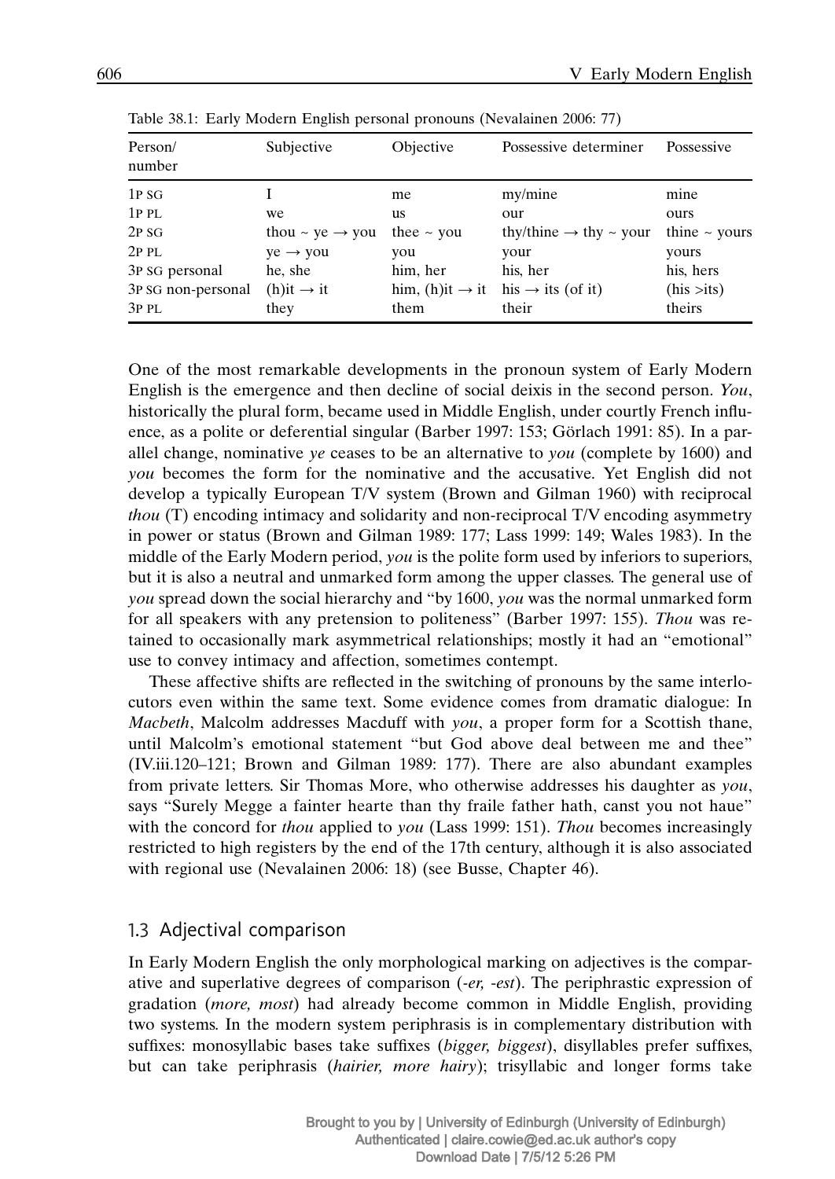| Table 38.1: Early Modern English personal pronouns (Nevalainen 2006: 77) |  |  |  |
|--------------------------------------------------------------------------|--|--|--|
|                                                                          |  |  |  |

| Person/<br>number  | Subjective                       | Objective                   | Possessive determiner                   | Possessive         |
|--------------------|----------------------------------|-----------------------------|-----------------------------------------|--------------------|
| 1PSG               |                                  | me                          | my/mine                                 | mine               |
| 1PPL               | we                               | us                          | our                                     | ours               |
| 2PSG               | thou $\sim$ ye $\rightarrow$ you | thee $\sim$ you             | thy/thine $\rightarrow$ thy $\sim$ your | thine $\sim$ yours |
| 2PPL               | $ye \rightarrow you$             | you                         | your                                    | yours              |
| 3P SG personal     | he, she                          | him, her                    | his, her                                | his, hers          |
| 3P SG non-personal | $(h)$ it $\rightarrow$ it        | him, (h)it $\rightarrow$ it | his $\rightarrow$ its (of it)           | (his > its)        |
| 3PPL               | they                             | them                        | their                                   | theirs             |

One of the most remarkable developments in the pronoun system of Early Modern English is the emergence and then decline of social deixis in the second person. You, historically the plural form, became used in Middle English, under courtly French influence, as a polite or deferential singular (Barber 1997: 153; Görlach 1991: 85). In a parallel change, nominative ye ceases to be an alternative to you (complete by  $1600$ ) and you becomes the form for the nominative and the accusative. Yet English did not develop a typically European T/V system (Brown and Gilman 1960) with reciprocal thou (T) encoding intimacy and solidarity and non-reciprocal T/V encoding asymmetry in power or status (Brown and Gilman 1989: 177; Lass 1999: 149; Wales 1983). In the middle of the Early Modern period, you is the polite form used by inferiors to superiors, but it is also a neutral and unmarked form among the upper classes. The general use of you spread down the social hierarchy and "by 1600, you was the normal unmarked form for all speakers with any pretension to politeness" (Barber 1997: 155). Thou was retained to occasionally mark asymmetrical relationships; mostly it had an "emotional" use to convey intimacy and affection, sometimes contempt.

These affective shifts are reflected in the switching of pronouns by the same interlocutors even within the same text. Some evidence comes from dramatic dialogue: In Macbeth, Malcolm addresses Macduff with you, a proper form for a Scottish thane, until Malcolm's emotional statement "but God above deal between me and thee" (IV.iii.120–121; Brown and Gilman 1989: 177). There are also abundant examples from private letters. Sir Thomas More, who otherwise addresses his daughter as you, says "Surely Megge a fainter hearte than thy fraile father hath, canst you not haue" with the concord for *thou* applied to *you* (Lass 1999: 151). Thou becomes increasingly restricted to high registers by the end of the 17th century, although it is also associated with regional use (Nevalainen 2006: 18) (see Busse, Chapter 46).

#### 1.3 Adjectival comparison

In Early Modern English the only morphological marking on adjectives is the comparative and superlative degrees of comparison (-er, -est). The periphrastic expression of gradation (more, most) had already become common in Middle English, providing two systems. In the modern system periphrasis is in complementary distribution with suffixes: monosyllabic bases take suffixes (bigger, biggest), disyllables prefer suffixes, but can take periphrasis (hairier, more hairy); trisyllabic and longer forms take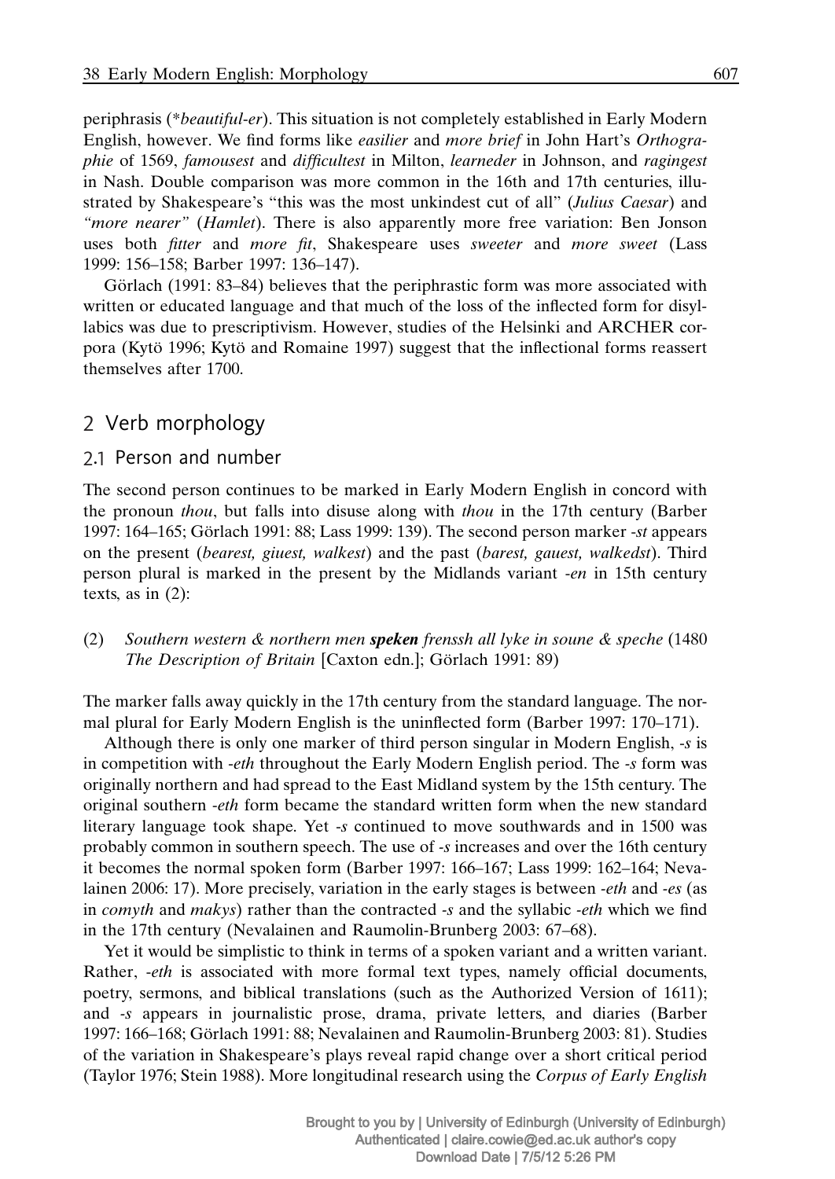periphrasis (\*beautiful-er). This situation is not completely established in Early Modern English, however. We find forms like easilier and more brief in John Hart's Orthographie of 1569, famousest and difficultest in Milton, learneder in Johnson, and ragingest in Nash. Double comparison was more common in the 16th and 17th centuries, illustrated by Shakespeare's "this was the most unkindest cut of all" (Julius Caesar) and "more nearer" (Hamlet). There is also apparently more free variation: Ben Jonson uses both *fitter* and *more fit*, Shakespeare uses *sweeter* and *more sweet* (Lass 1999: 156–158; Barber 1997: 136–147).

Görlach (1991: 83–84) believes that the periphrastic form was more associated with written or educated language and that much of the loss of the inflected form for disyllabics was due to prescriptivism. However, studies of the Helsinki and ARCHER corpora (Kytö 1996; Kytö and Romaine 1997) suggest that the inflectional forms reassert themselves after 1700.

#### 2 Verb morphology

#### 2.1 Person and number

The second person continues to be marked in Early Modern English in concord with the pronoun thou, but falls into disuse along with thou in the 17th century (Barber 1997: 164–165; Görlach 1991: 88; Lass 1999: 139). The second person marker -st appears on the present (bearest, giuest, walkest) and the past (barest, gauest, walkedst). Third person plural is marked in the present by the Midlands variant -en in 15th century texts, as in  $(2)$ :

#### (2) Southern western  $\&$  northern men **speken** frenssh all lyke in soune  $\&$  speche (1480) The Description of Britain [Caxton edn.]; Görlach 1991: 89)

The marker falls away quickly in the 17th century from the standard language. The normal plural for Early Modern English is the uninflected form (Barber 1997: 170–171).

Although there is only one marker of third person singular in Modern English, -s is in competition with *-eth* throughout the Early Modern English period. The -s form was originally northern and had spread to the East Midland system by the 15th century. The original southern -eth form became the standard written form when the new standard literary language took shape. Yet -s continued to move southwards and in 1500 was probably common in southern speech. The use of -s increases and over the 16th century it becomes the normal spoken form (Barber 1997: 166–167; Lass 1999: 162–164; Nevalainen 2006: 17). More precisely, variation in the early stages is between -eth and -es (as in *comyth* and *makys*) rather than the contracted -s and the syllabic -*eth* which we find in the 17th century (Nevalainen and Raumolin-Brunberg 2003: 67–68).

Yet it would be simplistic to think in terms of a spoken variant and a written variant. Rather, -eth is associated with more formal text types, namely official documents, poetry, sermons, and biblical translations (such as the Authorized Version of 1611); and -s appears in journalistic prose, drama, private letters, and diaries (Barber 1997: 166–168; Görlach 1991: 88; Nevalainen and Raumolin-Brunberg 2003: 81). Studies of the variation in Shakespeare's plays reveal rapid change over a short critical period (Taylor 1976; Stein 1988). More longitudinal research using the *Corpus of Early English*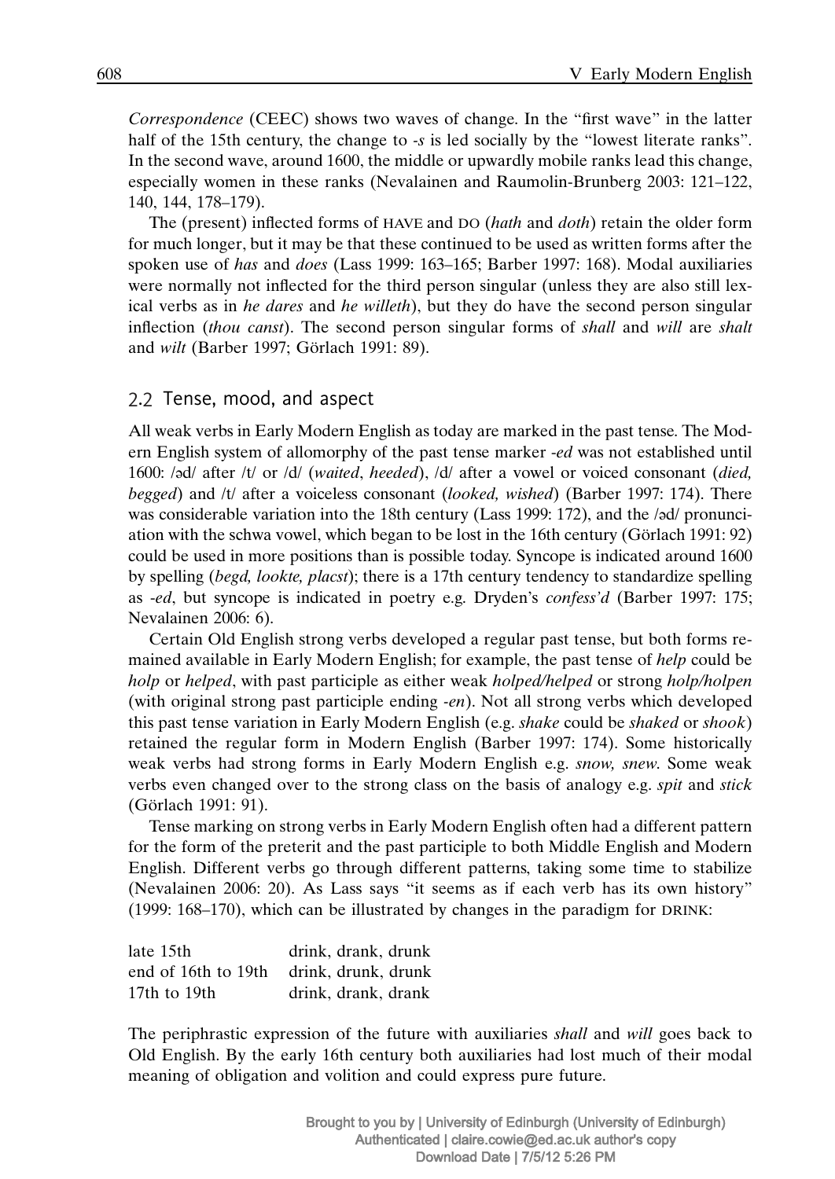Correspondence (CEEC) shows two waves of change. In the "first wave" in the latter half of the 15th century, the change to -s is led socially by the "lowest literate ranks". In the second wave, around 1600, the middle or upwardly mobile ranks lead this change, especially women in these ranks (Nevalainen and Raumolin-Brunberg 2003: 121–122, 140, 144, 178–179).

The (present) inflected forms of HAVE and DO (hath and doth) retain the older form for much longer, but it may be that these continued to be used as written forms after the spoken use of has and does (Lass 1999: 163–165; Barber 1997: 168). Modal auxiliaries were normally not inflected for the third person singular (unless they are also still lexical verbs as in he dares and he willeth), but they do have the second person singular inflection (thou canst). The second person singular forms of shall and will are shalt and wilt (Barber 1997; Görlach 1991: 89).

#### 2.2 Tense, mood, and aspect

All weak verbs in Early Modern English as today are marked in the past tense. The Modern English system of allomorphy of the past tense marker -ed was not established until 1600: /əd/ after /t/ or /d/ (waited, heeded), /d/ after a vowel or voiced consonant (died, begged) and /t/ after a voiceless consonant (looked, wished) (Barber 1997: 174). There was considerable variation into the 18th century (Lass 1999: 172), and the /əd/ pronunciation with the schwa vowel, which began to be lost in the 16th century (Görlach 1991: 92) could be used in more positions than is possible today. Syncope is indicated around 1600 by spelling (*begd, lookte, placst*); there is a 17th century tendency to standardize spelling as -ed, but syncope is indicated in poetry e.g. Dryden's confess'd (Barber 1997: 175; Nevalainen 2006: 6).

Certain Old English strong verbs developed a regular past tense, but both forms remained available in Early Modern English; for example, the past tense of *help* could be holp or helped, with past participle as either weak holped/helped or strong holp/holpen (with original strong past participle ending -en). Not all strong verbs which developed this past tense variation in Early Modern English (e.g. shake could be shaked or shook) retained the regular form in Modern English (Barber 1997: 174). Some historically weak verbs had strong forms in Early Modern English e.g. snow, snew. Some weak verbs even changed over to the strong class on the basis of analogy e.g. spit and stick (Görlach 1991: 91).

Tense marking on strong verbs in Early Modern English often had a different pattern for the form of the preterit and the past participle to both Middle English and Modern English. Different verbs go through different patterns, taking some time to stabilize (Nevalainen 2006: 20). As Lass says "it seems as if each verb has its own history" (1999: 168–170), which can be illustrated by changes in the paradigm for DRINK:

| late 15th           | drink, drank, drunk |
|---------------------|---------------------|
| end of 16th to 19th | drink, drunk, drunk |
| 17th to 19th        | drink, drank, drank |

The periphrastic expression of the future with auxiliaries *shall* and *will* goes back to Old English. By the early 16th century both auxiliaries had lost much of their modal meaning of obligation and volition and could express pure future.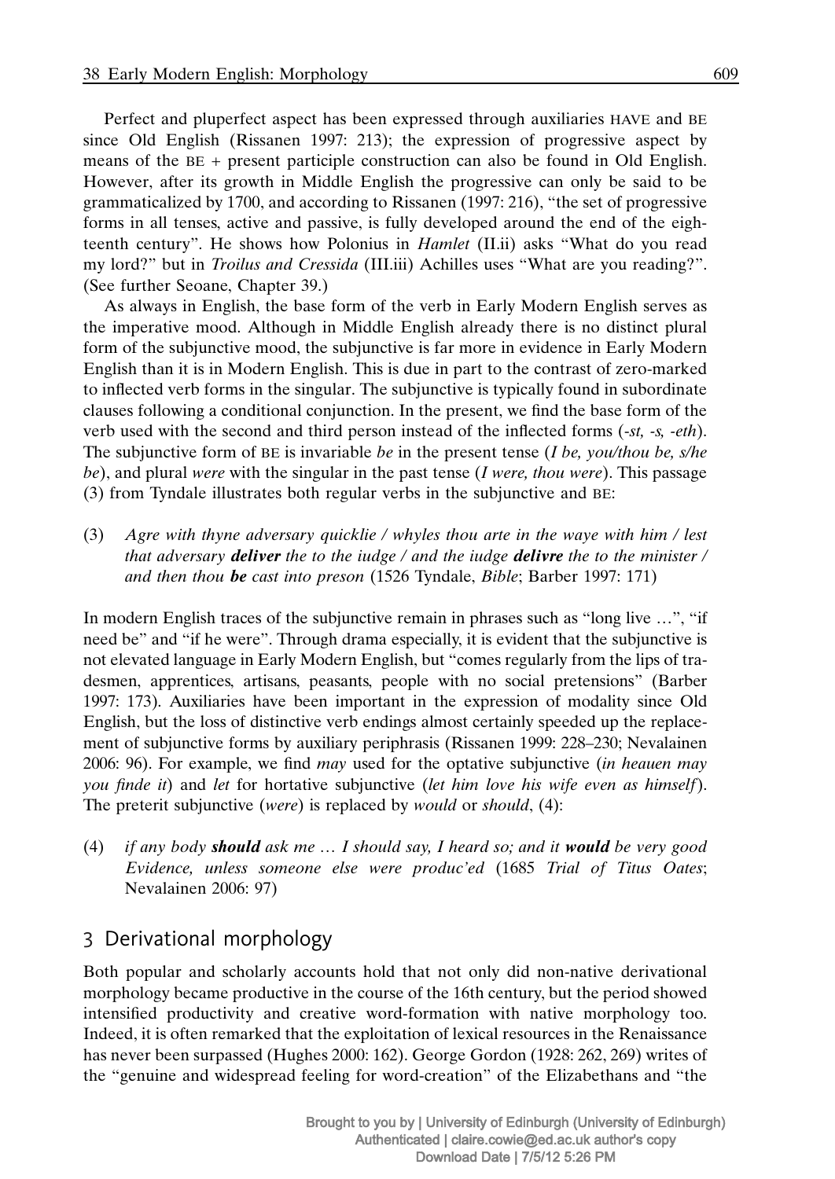Perfect and pluperfect aspect has been expressed through auxiliaries HAVE and BE since Old English (Rissanen 1997: 213); the expression of progressive aspect by means of the BE + present participle construction can also be found in Old English. However, after its growth in Middle English the progressive can only be said to be grammaticalized by 1700, and according to Rissanen (1997: 216), "the set of progressive forms in all tenses, active and passive, is fully developed around the end of the eighteenth century". He shows how Polonius in Hamlet (II.ii) asks "What do you read my lord?" but in *Troilus and Cressida* (III.iii) Achilles uses "What are you reading?". (See further Seoane, Chapter 39.)

As always in English, the base form of the verb in Early Modern English serves as the imperative mood. Although in Middle English already there is no distinct plural form of the subjunctive mood, the subjunctive is far more in evidence in Early Modern English than it is in Modern English. This is due in part to the contrast of zero-marked to inflected verb forms in the singular. The subjunctive is typically found in subordinate clauses following a conditional conjunction. In the present, we find the base form of the verb used with the second and third person instead of the inflected forms  $(-st, -s, -eth)$ . The subjunctive form of BE is invariable be in the present tense (I be, you/thou be, s/he be), and plural were with the singular in the past tense  $(I$  were, thou were). This passage (3) from Tyndale illustrates both regular verbs in the subjunctive and BE:

(3) Agre with thyne adversary quicklie / whyles thou arte in the waye with him / lest that adversary **deliver** the to the indge  $/$  and the indge **delivre** the to the minister  $/$ and then thou be cast into preson (1526 Tyndale, Bible; Barber 1997: 171)

In modern English traces of the subjunctive remain in phrases such as "long live …", "if need be" and "if he were". Through drama especially, it is evident that the subjunctive is not elevated language in Early Modern English, but "comes regularly from the lips of tradesmen, apprentices, artisans, peasants, people with no social pretensions" (Barber 1997: 173). Auxiliaries have been important in the expression of modality since Old English, but the loss of distinctive verb endings almost certainly speeded up the replacement of subjunctive forms by auxiliary periphrasis (Rissanen 1999: 228–230; Nevalainen 2006: 96). For example, we find may used for the optative subjunctive (in heauen may you finde it) and let for hortative subjunctive (let him love his wife even as himself). The preterit subjunctive (were) is replaced by would or should, (4):

(4) if any body **should** ask me  $\ldots$  I should say, I heard so; and it **would** be very good Evidence, unless someone else were produc'ed (1685 Trial of Titus Oates; Nevalainen 2006: 97)

#### 3 Derivational morphology

Both popular and scholarly accounts hold that not only did non-native derivational morphology became productive in the course of the 16th century, but the period showed intensified productivity and creative word-formation with native morphology too. Indeed, it is often remarked that the exploitation of lexical resources in the Renaissance has never been surpassed (Hughes 2000: 162). George Gordon (1928: 262, 269) writes of the "genuine and widespread feeling for word-creation" of the Elizabethans and "the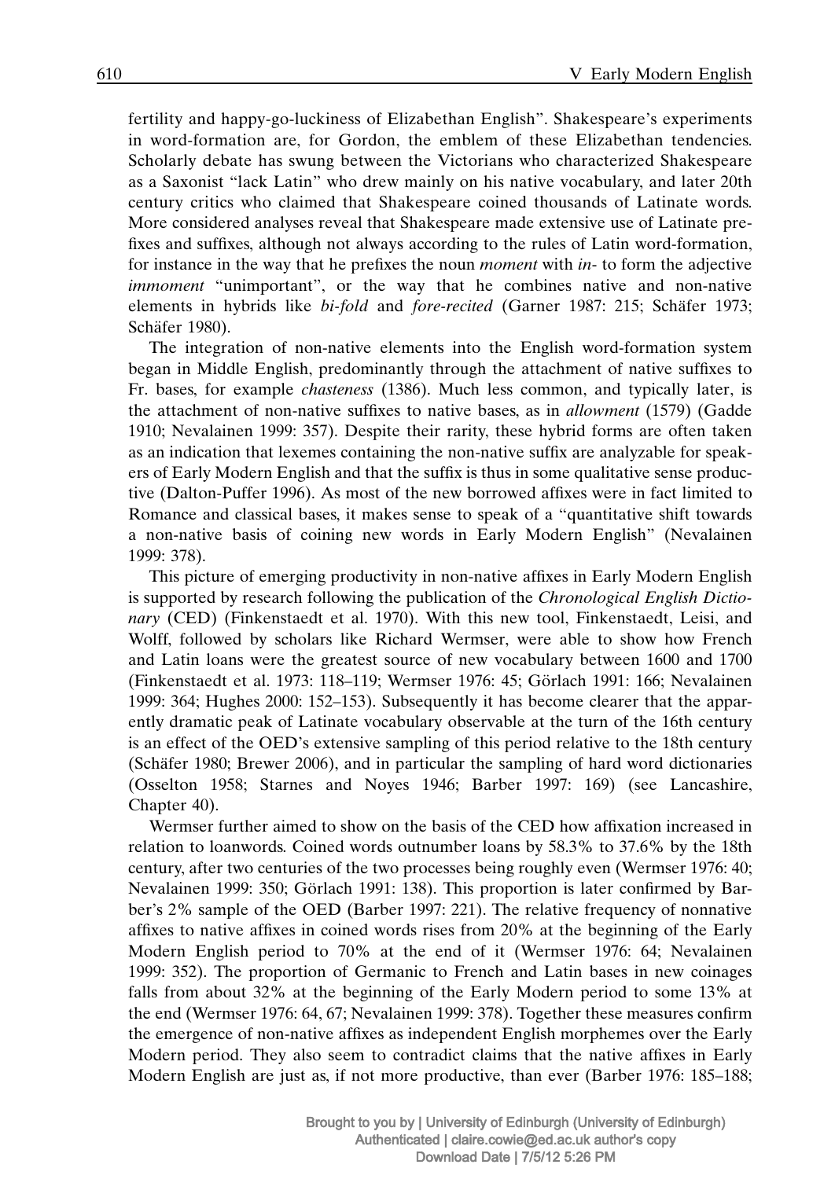fertility and happy-go-luckiness of Elizabethan English". Shakespeare's experiments in word-formation are, for Gordon, the emblem of these Elizabethan tendencies. Scholarly debate has swung between the Victorians who characterized Shakespeare as a Saxonist "lack Latin" who drew mainly on his native vocabulary, and later 20th century critics who claimed that Shakespeare coined thousands of Latinate words. More considered analyses reveal that Shakespeare made extensive use of Latinate prefixes and suffixes, although not always according to the rules of Latin word-formation, for instance in the way that he prefixes the noun *moment* with in-to form the adjective immoment "unimportant", or the way that he combines native and non-native elements in hybrids like bi-fold and fore-recited (Garner 1987: 215; Schäfer 1973; Schäfer 1980).

The integration of non-native elements into the English word-formation system began in Middle English, predominantly through the attachment of native suffixes to Fr. bases, for example chasteness (1386). Much less common, and typically later, is the attachment of non-native suffixes to native bases, as in allowment (1579) (Gadde 1910; Nevalainen 1999: 357). Despite their rarity, these hybrid forms are often taken as an indication that lexemes containing the non-native suffix are analyzable for speakers of Early Modern English and that the suffix is thus in some qualitative sense productive (Dalton-Puffer 1996). As most of the new borrowed affixes were in fact limited to Romance and classical bases, it makes sense to speak of a "quantitative shift towards a non-native basis of coining new words in Early Modern English" (Nevalainen 1999: 378).

This picture of emerging productivity in non-native affixes in Early Modern English is supported by research following the publication of the *Chronological English Dictio*nary (CED) (Finkenstaedt et al. 1970). With this new tool, Finkenstaedt, Leisi, and Wolff, followed by scholars like Richard Wermser, were able to show how French and Latin loans were the greatest source of new vocabulary between 1600 and 1700 (Finkenstaedt et al. 1973: 118–119; Wermser 1976: 45; Görlach 1991: 166; Nevalainen 1999: 364; Hughes 2000: 152–153). Subsequently it has become clearer that the apparently dramatic peak of Latinate vocabulary observable at the turn of the 16th century is an effect of the OED's extensive sampling of this period relative to the 18th century (Schäfer 1980; Brewer 2006), and in particular the sampling of hard word dictionaries (Osselton 1958; Starnes and Noyes 1946; Barber 1997: 169) (see Lancashire, Chapter 40).

Wermser further aimed to show on the basis of the CED how affixation increased in relation to loanwords. Coined words outnumber loans by 58.3% to 37.6% by the 18th century, after two centuries of the two processes being roughly even (Wermser 1976: 40; Nevalainen 1999: 350; Görlach 1991: 138). This proportion is later confirmed by Barber's 2% sample of the OED (Barber 1997: 221). The relative frequency of nonnative affixes to native affixes in coined words rises from 20% at the beginning of the Early Modern English period to 70% at the end of it (Wermser 1976: 64; Nevalainen 1999: 352). The proportion of Germanic to French and Latin bases in new coinages falls from about 32% at the beginning of the Early Modern period to some 13% at the end (Wermser 1976: 64, 67; Nevalainen 1999: 378). Together these measures confirm the emergence of non-native affixes as independent English morphemes over the Early Modern period. They also seem to contradict claims that the native affixes in Early Modern English are just as, if not more productive, than ever (Barber 1976: 185–188;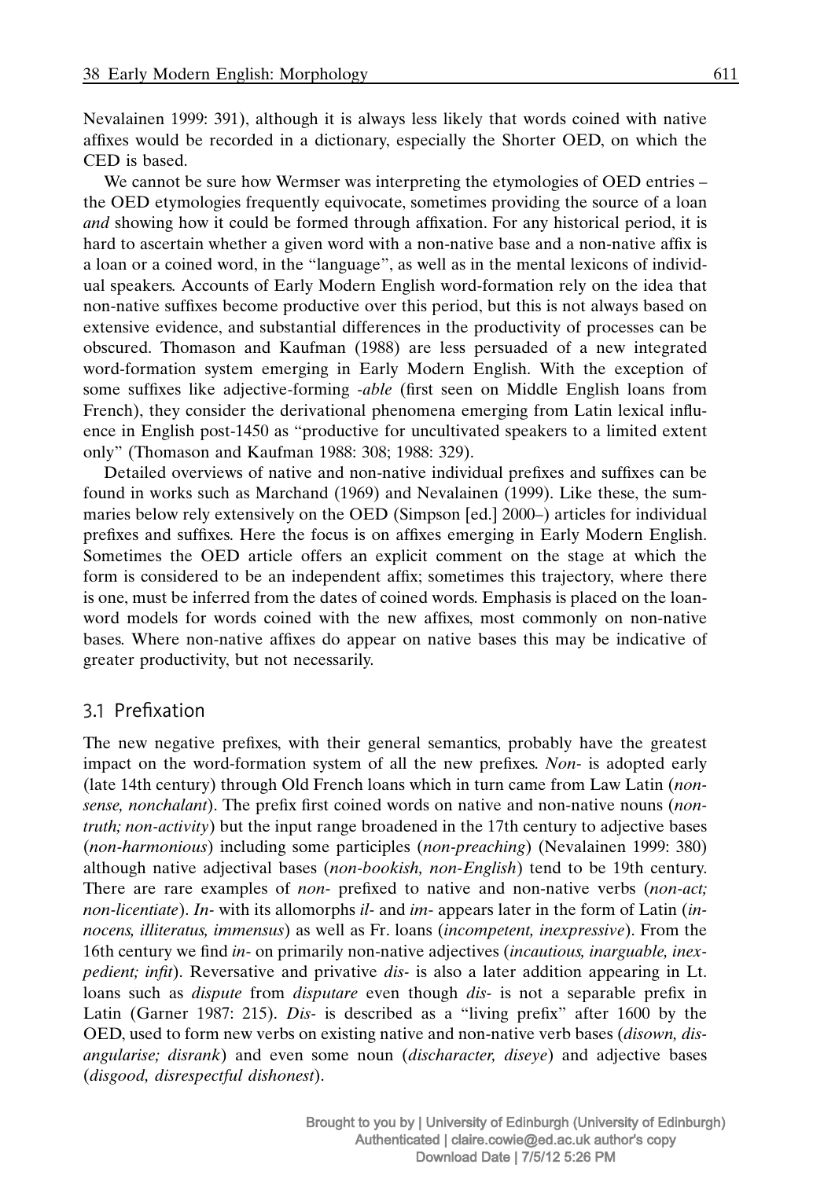Nevalainen 1999: 391), although it is always less likely that words coined with native affixes would be recorded in a dictionary, especially the Shorter OED, on which the CED is based.

We cannot be sure how Wermser was interpreting the etymologies of OED entries – the OED etymologies frequently equivocate, sometimes providing the source of a loan and showing how it could be formed through affixation. For any historical period, it is hard to ascertain whether a given word with a non-native base and a non-native affix is a loan or a coined word, in the "language", as well as in the mental lexicons of individual speakers. Accounts of Early Modern English word-formation rely on the idea that non-native suffixes become productive over this period, but this is not always based on extensive evidence, and substantial differences in the productivity of processes can be obscured. Thomason and Kaufman (1988) are less persuaded of a new integrated word-formation system emerging in Early Modern English. With the exception of some suffixes like adjective-forming -able (first seen on Middle English loans from French), they consider the derivational phenomena emerging from Latin lexical influence in English post-1450 as "productive for uncultivated speakers to a limited extent only" (Thomason and Kaufman 1988: 308; 1988: 329).

Detailed overviews of native and non-native individual prefixes and suffixes can be found in works such as Marchand (1969) and Nevalainen (1999). Like these, the summaries below rely extensively on the OED (Simpson [ed.] 2000–) articles for individual prefixes and suffixes. Here the focus is on affixes emerging in Early Modern English. Sometimes the OED article offers an explicit comment on the stage at which the form is considered to be an independent affix; sometimes this trajectory, where there is one, must be inferred from the dates of coined words. Emphasis is placed on the loanword models for words coined with the new affixes, most commonly on non-native bases. Where non-native affixes do appear on native bases this may be indicative of greater productivity, but not necessarily.

#### 3.1 Prefixation

The new negative prefixes, with their general semantics, probably have the greatest impact on the word-formation system of all the new prefixes. Non- is adopted early (late 14th century) through Old French loans which in turn came from Law Latin (nonsense, nonchalant). The prefix first coined words on native and non-native nouns (nontruth; non-activity) but the input range broadened in the 17th century to adjective bases (non-harmonious) including some participles (non-preaching) (Nevalainen 1999: 380) although native adjectival bases (non-bookish, non-English) tend to be 19th century. There are rare examples of *non*- prefixed to native and non-native verbs (*non-act*; non-licentiate). In- with its allomorphs il- and im- appears later in the form of Latin (innocens, illiteratus, immensus) as well as Fr. loans (incompetent, inexpressive). From the 16th century we find in- on primarily non-native adjectives (incautious, inarguable, inexpedient; infit). Reversative and privative dis- is also a later addition appearing in Lt. loans such as *dispute* from *disputare* even though *dis*- is not a separable prefix in Latin (Garner 1987: 215). *Dis-* is described as a "living prefix" after 1600 by the OED, used to form new verbs on existing native and non-native verb bases (disown, disangularise; disrank) and even some noun (discharacter, diseye) and adjective bases (disgood, disrespectful dishonest).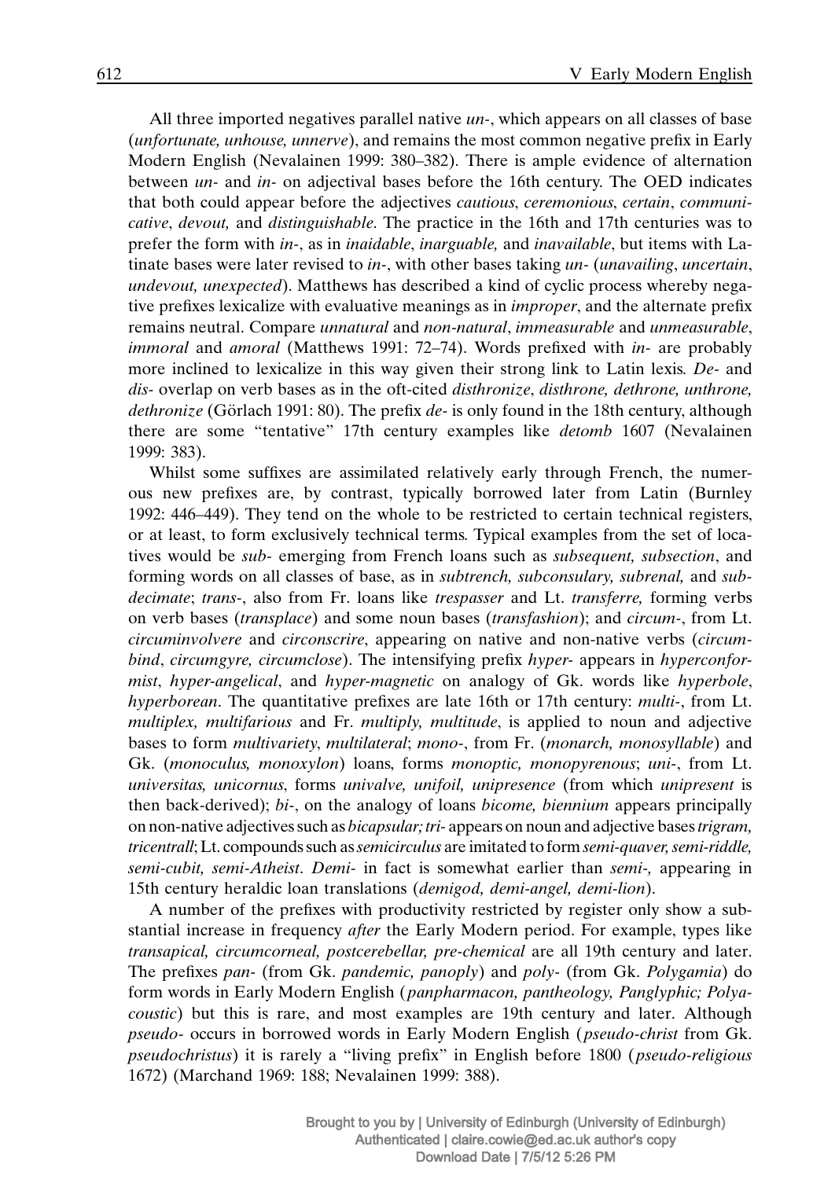All three imported negatives parallel native *un*-, which appears on all classes of base (unfortunate, unhouse, unnerve), and remains the most common negative prefix in Early Modern English (Nevalainen 1999: 380–382). There is ample evidence of alternation between *un*- and *in*- on adjectival bases before the 16th century. The OED indicates that both could appear before the adjectives cautious, ceremonious, certain, communicative, devout, and distinguishable. The practice in the 16th and 17th centuries was to prefer the form with in-, as in inaidable, inarguable, and inavailable, but items with Latinate bases were later revised to *in*-, with other bases taking *un-* (*unavailing, uncertain,* undevout, unexpected). Matthews has described a kind of cyclic process whereby negative prefixes lexicalize with evaluative meanings as in improper, and the alternate prefix remains neutral. Compare *unnatural* and *non-natural*, *immeasurable* and *unmeasurable*, immoral and amoral (Matthews 1991: 72–74). Words prefixed with in- are probably more inclined to lexicalize in this way given their strong link to Latin lexis. De- and dis- overlap on verb bases as in the oft-cited disthronize, disthrone, dethrone, unthrone, dethronize (Görlach 1991: 80). The prefix de- is only found in the 18th century, although there are some "tentative" 17th century examples like detomb 1607 (Nevalainen 1999: 383).

Whilst some suffixes are assimilated relatively early through French, the numerous new prefixes are, by contrast, typically borrowed later from Latin (Burnley 1992: 446–449). They tend on the whole to be restricted to certain technical registers, or at least, to form exclusively technical terms. Typical examples from the set of locatives would be *sub-* emerging from French loans such as *subsequent*, *subsection*, and forming words on all classes of base, as in subtrench, subconsulary, subrenal, and subdecimate; trans-, also from Fr. loans like trespasser and Lt. transferre, forming verbs on verb bases (transplace) and some noun bases (transfashion); and circum-, from Lt. circuminvolvere and circonscrire, appearing on native and non-native verbs (circumbind, circumgyre, circumclose). The intensifying prefix hyper-appears in hyperconformist, hyper-angelical, and hyper-magnetic on analogy of Gk. words like hyperbole, hyperborean. The quantitative prefixes are late 16th or 17th century: multi-, from Lt. multiplex, multifarious and Fr. multiply, multitude, is applied to noun and adjective bases to form multivariety, multilateral; mono-, from Fr. (monarch, monosyllable) and Gk. (monoculus, monoxylon) loans, forms monoptic, monopyrenous; uni-, from Lt. universitas, unicornus, forms univalve, unifoil, unipresence (from which unipresent is then back-derived); bi-, on the analogy of loans bicome, biennium appears principally on non-native adjectives such as *bicapsular; tri-* appears on noun and adjective bases *trigram*, tricentrall; Lt. compounds such as semicirculus are imitated to form semi-quaver, semi-riddle, semi-cubit, semi-Atheist. Demi- in fact is somewhat earlier than semi-, appearing in 15th century heraldic loan translations (demigod, demi-angel, demi-lion).

A number of the prefixes with productivity restricted by register only show a substantial increase in frequency after the Early Modern period. For example, types like transapical, circumcorneal, postcerebellar, pre-chemical are all 19th century and later. The prefixes pan- (from Gk. pandemic, panoply) and poly- (from Gk. Polygamia) do form words in Early Modern English (panpharmacon, pantheology, Panglyphic; Polyacoustic) but this is rare, and most examples are 19th century and later. Although pseudo- occurs in borrowed words in Early Modern English (pseudo-christ from Gk. pseudochristus) it is rarely a "living prefix" in English before 1800 (pseudo-religious 1672) (Marchand 1969: 188; Nevalainen 1999: 388).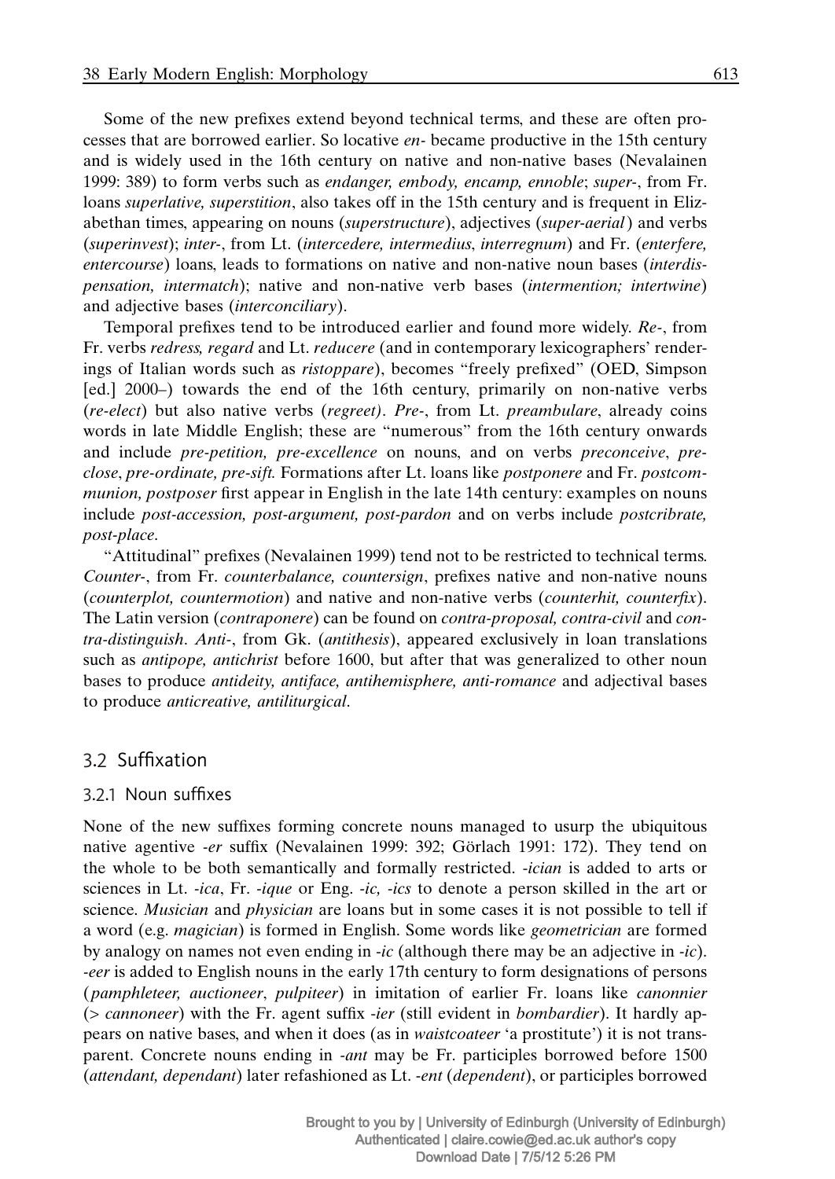Some of the new prefixes extend beyond technical terms, and these are often processes that are borrowed earlier. So locative en- became productive in the 15th century and is widely used in the 16th century on native and non-native bases (Nevalainen 1999: 389) to form verbs such as endanger, embody, encamp, ennoble; super-, from Fr. loans *superlative, superstition*, also takes off in the 15th century and is frequent in Elizabethan times, appearing on nouns (superstructure), adjectives (super-aerial) and verbs (superinvest); inter-, from Lt. (intercedere, intermedius, interregnum) and Fr. (enterfere, entercourse) loans, leads to formations on native and non-native noun bases (interdispensation, intermatch); native and non-native verb bases (intermention; intertwine) and adjective bases (interconciliary).

Temporal prefixes tend to be introduced earlier and found more widely. Re-, from Fr. verbs redress, regard and Lt. reducere (and in contemporary lexicographers' renderings of Italian words such as ristoppare), becomes "freely prefixed" (OED, Simpson [ed.] 2000–) towards the end of the 16th century, primarily on non-native verbs (re-elect) but also native verbs (regreet). Pre-, from Lt. preambulare, already coins words in late Middle English; these are "numerous" from the 16th century onwards and include pre-petition, pre-excellence on nouns, and on verbs preconceive, preclose, pre-ordinate, pre-sift. Formations after Lt. loans like postponere and Fr. postcommunion, postposer first appear in English in the late 14th century: examples on nouns include post-accession, post-argument, post-pardon and on verbs include postcribrate, post-place.

"Attitudinal" prefixes (Nevalainen 1999) tend not to be restricted to technical terms. Counter-, from Fr. counterbalance, countersign, prefixes native and non-native nouns (counterplot, countermotion) and native and non-native verbs (counterhit, counterfix). The Latin version (contraponere) can be found on contra-proposal, contra-civil and contra-distinguish. Anti-, from Gk. (antithesis), appeared exclusively in loan translations such as *antipope, antichrist* before 1600, but after that was generalized to other noun bases to produce antideity, antiface, antihemisphere, anti-romance and adjectival bases to produce anticreative, antiliturgical.

#### 3.2 Suffixation

#### 3.2.1 Noun suffixes

None of the new suffixes forming concrete nouns managed to usurp the ubiquitous native agentive -er suffix (Nevalainen 1999: 392; Görlach 1991: 172). They tend on the whole to be both semantically and formally restricted. -ician is added to arts or sciences in Lt. -ica, Fr. -ique or Eng. -ic, -ics to denote a person skilled in the art or science. Musician and physician are loans but in some cases it is not possible to tell if a word (e.g. magician) is formed in English. Some words like geometrician are formed by analogy on names not even ending in  $-ic$  (although there may be an adjective in  $-ic$ ). -eer is added to English nouns in the early 17th century to form designations of persons (pamphleteer, auctioneer, pulpiteer) in imitation of earlier Fr. loans like canonnier ( $>$  cannoneer) with the Fr. agent suffix -ier (still evident in bombardier). It hardly appears on native bases, and when it does (as in waistcoateer 'a prostitute') it is not transparent. Concrete nouns ending in -ant may be Fr. participles borrowed before 1500 (attendant, dependant) later refashioned as Lt. -ent (dependent), or participles borrowed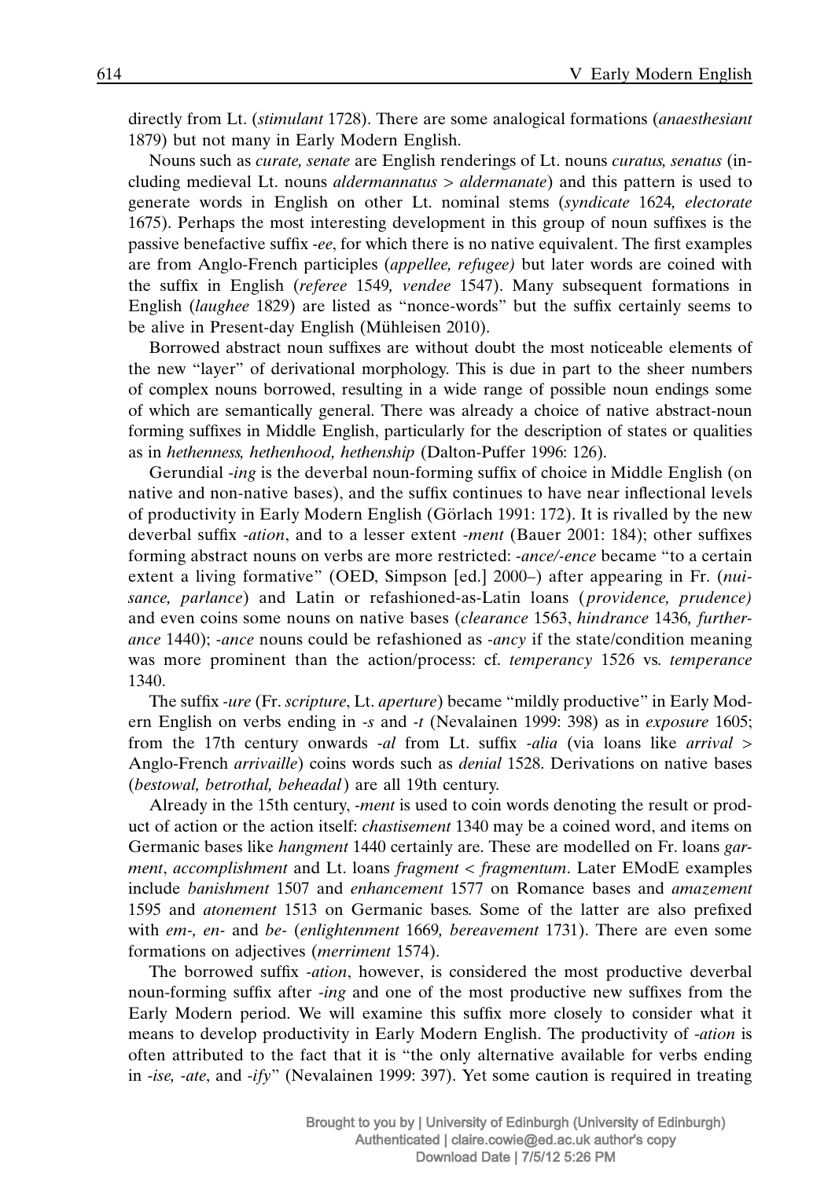directly from Lt. *(stimulant* 1728). There are some analogical formations *(anaesthesiant*) 1879) but not many in Early Modern English.

Nouns such as curate, senate are English renderings of Lt. nouns curatus, senatus (including medieval Lt. nouns *aldermannatus*  $>$  *aldermanate*) and this pattern is used to generate words in English on other Lt. nominal stems (syndicate 1624, electorate 1675). Perhaps the most interesting development in this group of noun suffixes is the passive benefactive suffix -ee, for which there is no native equivalent. The first examples are from Anglo-French participles (appellee, refugee) but later words are coined with the suffix in English (referee 1549, vendee 1547). Many subsequent formations in English (laughee 1829) are listed as "nonce-words" but the suffix certainly seems to be alive in Present-day English (Mühleisen 2010).

Borrowed abstract noun suffixes are without doubt the most noticeable elements of the new "layer" of derivational morphology. This is due in part to the sheer numbers of complex nouns borrowed, resulting in a wide range of possible noun endings some of which are semantically general. There was already a choice of native abstract-noun forming suffixes in Middle English, particularly for the description of states or qualities as in hethenness, hethenhood, hethenship (Dalton-Puffer 1996: 126).

Gerundial -ing is the deverbal noun-forming suffix of choice in Middle English (on native and non-native bases), and the suffix continues to have near inflectional levels of productivity in Early Modern English (Görlach 1991: 172). It is rivalled by the new deverbal suffix *-ation*, and to a lesser extent *-ment* (Bauer 2001: 184); other suffixes forming abstract nouns on verbs are more restricted: -ance/-ence became "to a certain extent a living formative" (OED, Simpson [ed.] 2000–) after appearing in Fr. (nuisance, parlance) and Latin or refashioned-as-Latin loans (providence, prudence) and even coins some nouns on native bases (clearance 1563, hindrance 1436, furtherance 1440); -ance nouns could be refashioned as -ancy if the state/condition meaning was more prominent than the action/process: cf. *temperancy* 1526 vs. *temperance* 1340.

The suffix -ure (Fr. scripture, Lt. aperture) became "mildly productive" in Early Modern English on verbs ending in -s and -t (Nevalainen 1999: 398) as in *exposure* 1605; from the 17th century onwards  $-al$  from Lt. suffix  $-alia$  (via loans like *arrival*  $>$ Anglo-French arrivaille) coins words such as denial 1528. Derivations on native bases (bestowal, betrothal, beheadal) are all 19th century.

Already in the 15th century, -ment is used to coin words denoting the result or product of action or the action itself: chastisement 1340 may be a coined word, and items on Germanic bases like *hangment* 1440 certainly are. These are modelled on Fr. loans *gar*ment, accomplishment and Lt. loans fragment < fragmentum. Later EModE examples include banishment 1507 and enhancement 1577 on Romance bases and amazement 1595 and atonement 1513 on Germanic bases. Some of the latter are also prefixed with em-, en- and be- (enlightenment 1669, bereavement 1731). There are even some formations on adjectives (merriment 1574).

The borrowed suffix -ation, however, is considered the most productive deverbal noun-forming suffix after -ing and one of the most productive new suffixes from the Early Modern period. We will examine this suffix more closely to consider what it means to develop productivity in Early Modern English. The productivity of -ation is often attributed to the fact that it is "the only alternative available for verbs ending in -ise, -ate, and -ify" (Nevalainen 1999: 397). Yet some caution is required in treating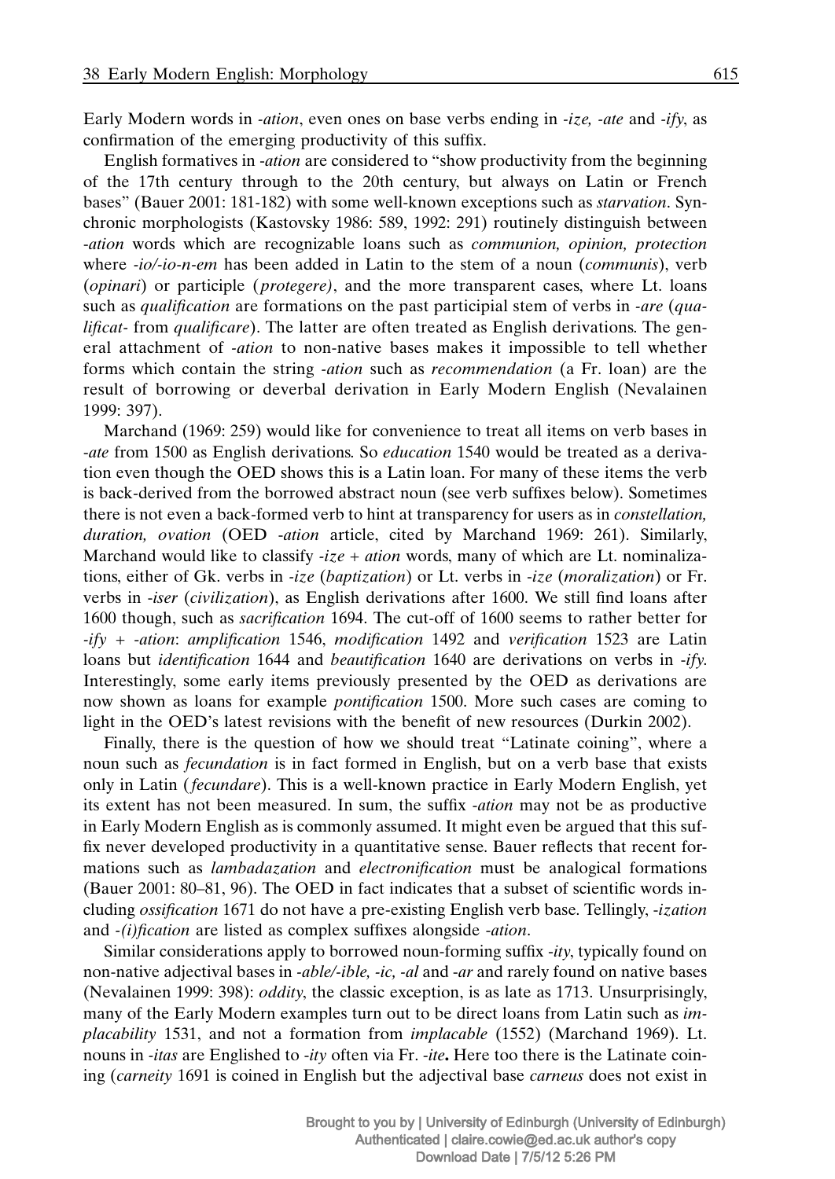Early Modern words in -ation, even ones on base verbs ending in -ize, -ate and -ify, as confirmation of the emerging productivity of this suffix.

English formatives in -ation are considered to "show productivity from the beginning of the 17th century through to the 20th century, but always on Latin or French bases" (Bauer 2001: 181-182) with some well-known exceptions such as starvation. Synchronic morphologists (Kastovsky 1986: 589, 1992: 291) routinely distinguish between -ation words which are recognizable loans such as communion, opinion, protection where  $-i\omega$ -io-n-em has been added in Latin to the stem of a noun (communis), verb (*opinari*) or participle (*protegere*), and the more transparent cases, where Lt. loans such as *qualification* are formations on the past participial stem of verbs in -are (qualificat- from qualificare). The latter are often treated as English derivations. The general attachment of -ation to non-native bases makes it impossible to tell whether forms which contain the string -ation such as recommendation (a Fr. loan) are the result of borrowing or deverbal derivation in Early Modern English (Nevalainen 1999: 397).

Marchand (1969: 259) would like for convenience to treat all items on verb bases in -*ate* from 1500 as English derivations. So *education* 1540 would be treated as a derivation even though the OED shows this is a Latin loan. For many of these items the verb is back-derived from the borrowed abstract noun (see verb suffixes below). Sometimes there is not even a back-formed verb to hint at transparency for users as in constellation, duration, ovation (OED -ation article, cited by Marchand 1969: 261). Similarly, Marchand would like to classify  $-ize + ation$  words, many of which are Lt. nominalizations, either of Gk. verbs in -ize (baptization) or Lt. verbs in -ize (moralization) or Fr. verbs in -iser (civilization), as English derivations after 1600. We still find loans after 1600 though, such as sacrification 1694. The cut-off of 1600 seems to rather better for -ify + -ation: amplification 1546, modification 1492 and verification 1523 are Latin loans but *identification* 1644 and *beautification* 1640 are derivations on verbs in -*ifv*. Interestingly, some early items previously presented by the OED as derivations are now shown as loans for example pontification 1500. More such cases are coming to light in the OED's latest revisions with the benefit of new resources (Durkin 2002).

Finally, there is the question of how we should treat "Latinate coining", where a noun such as *fecundation* is in fact formed in English, but on a verb base that exists only in Latin (fecundare). This is a well-known practice in Early Modern English, yet its extent has not been measured. In sum, the suffix -ation may not be as productive in Early Modern English as is commonly assumed. It might even be argued that this suffix never developed productivity in a quantitative sense. Bauer reflects that recent formations such as *lambadazation* and *electronification* must be analogical formations (Bauer 2001: 80–81, 96). The OED in fact indicates that a subset of scientific words including ossification 1671 do not have a pre-existing English verb base. Tellingly, -ization and  $-(i)$ *fication* are listed as complex suffixes alongside *-ation*.

Similar considerations apply to borrowed noun-forming suffix -ity, typically found on non-native adjectival bases in -able/-ible, -ic, -al and -ar and rarely found on native bases (Nevalainen 1999: 398): oddity, the classic exception, is as late as 1713. Unsurprisingly, many of the Early Modern examples turn out to be direct loans from Latin such as implacability 1531, and not a formation from implacable (1552) (Marchand 1969). Lt. nouns in -*itas* are Englished to -*ity* often via Fr. -*ite*. Here too there is the Latinate coining (carneity 1691 is coined in English but the adjectival base carneus does not exist in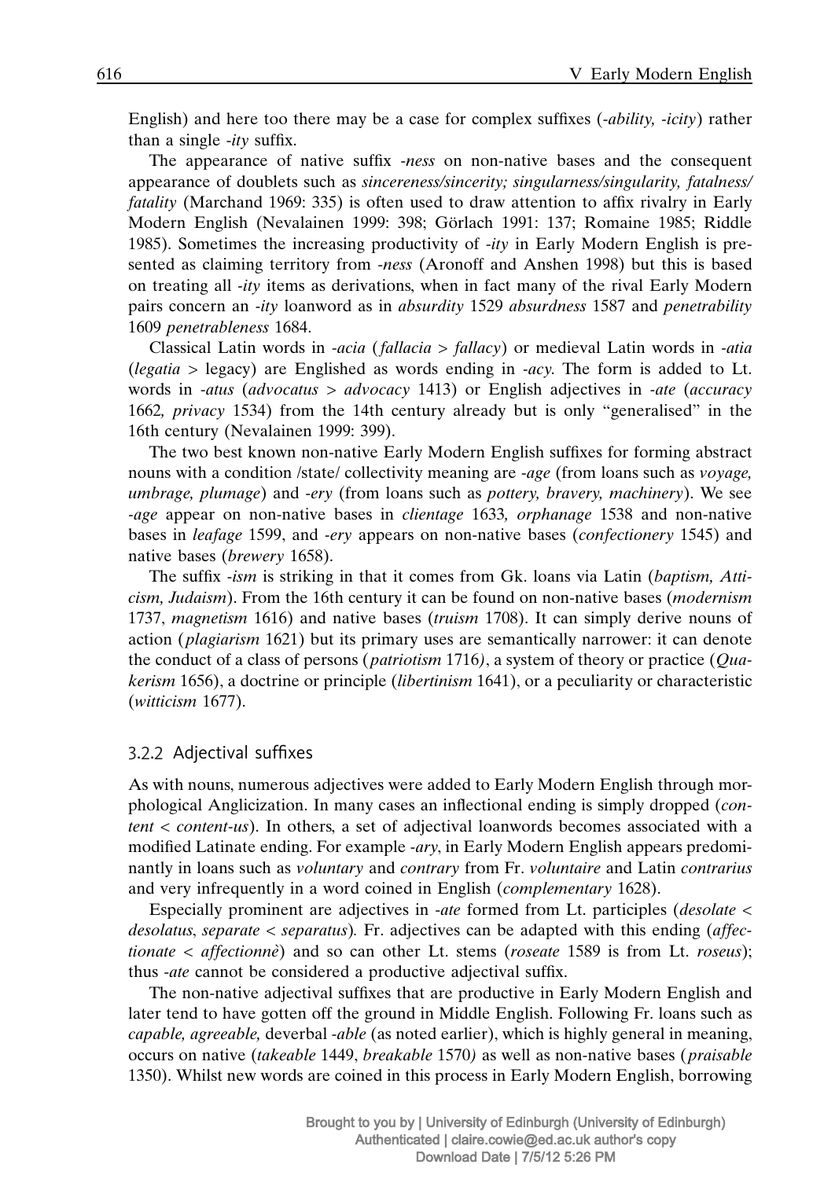English) and here too there may be a case for complex suffixes  $(-a\text{bility}, -i\text{city})$  rather than a single  $-ity$  suffix.

The appearance of native suffix -ness on non-native bases and the consequent appearance of doublets such as sincereness/sincerity; singularness/singularity, fatalness/ fatality (Marchand 1969: 335) is often used to draw attention to affix rivalry in Early Modern English (Nevalainen 1999: 398; Görlach 1991: 137; Romaine 1985; Riddle 1985). Sometimes the increasing productivity of -ity in Early Modern English is presented as claiming territory from -ness (Aronoff and Anshen 1998) but this is based on treating all  $-ity$  items as derivations, when in fact many of the rival Early Modern pairs concern an -ity loanword as in absurdity 1529 absurdness 1587 and penetrability 1609 penetrableness 1684.

Classical Latin words in *-acia* (*fallacia > fallacy*) or medieval Latin words in *-atia* (*legatia*  $>$  legacy) are Englished as words ending in *-acy*. The form is added to Lt. words in -atus (advocatus > advocacy 1413) or English adjectives in -ate (accuracy 1662, privacy 1534) from the 14th century already but is only "generalised" in the 16th century (Nevalainen 1999: 399).

The two best known non-native Early Modern English suffixes for forming abstract nouns with a condition /state/ collectivity meaning are *-age* (from loans such as *voyage*, umbrage, plumage) and -ery (from loans such as pottery, bravery, machinery). We see -age appear on non-native bases in *clientage* 1633, *orphanage* 1538 and non-native bases in leafage 1599, and -ery appears on non-native bases (confectionery 1545) and native bases (brewery 1658).

The suffix *-ism* is striking in that it comes from Gk. loans via Latin (baptism, Atticism, Judaism). From the 16th century it can be found on non-native bases (modernism 1737, magnetism 1616) and native bases (truism 1708). It can simply derive nouns of action (plagiarism 1621) but its primary uses are semantically narrower: it can denote the conduct of a class of persons (*patriotism* 1716), a system of theory or practice (*Qua*kerism 1656), a doctrine or principle (libertinism 1641), or a peculiarity or characteristic (witticism 1677).

#### 3.2.2 Adjectival suffixes

As with nouns, numerous adjectives were added to Early Modern English through morphological Anglicization. In many cases an inflectional ending is simply dropped (content < content-us). In others, a set of adjectival loanwords becomes associated with a modified Latinate ending. For example -ary, in Early Modern English appears predominantly in loans such as *voluntary* and *contrary* from Fr. *voluntaire* and Latin *contrarius* and very infrequently in a word coined in English (complementary 1628).

Especially prominent are adjectives in -ate formed from Lt. participles (desolate < desolatus, separate  $\lt$  separatus). Fr. adjectives can be adapted with this ending (affectionate  $\langle$  affectionne) and so can other Lt. stems (roseate 1589 is from Lt. roseus); thus -ate cannot be considered a productive adjectival suffix.

The non-native adjectival suffixes that are productive in Early Modern English and later tend to have gotten off the ground in Middle English. Following Fr. loans such as capable, agreeable, deverbal *-able* (as noted earlier), which is highly general in meaning, occurs on native (takeable 1449, breakable 1570) as well as non-native bases (praisable 1350). Whilst new words are coined in this process in Early Modern English, borrowing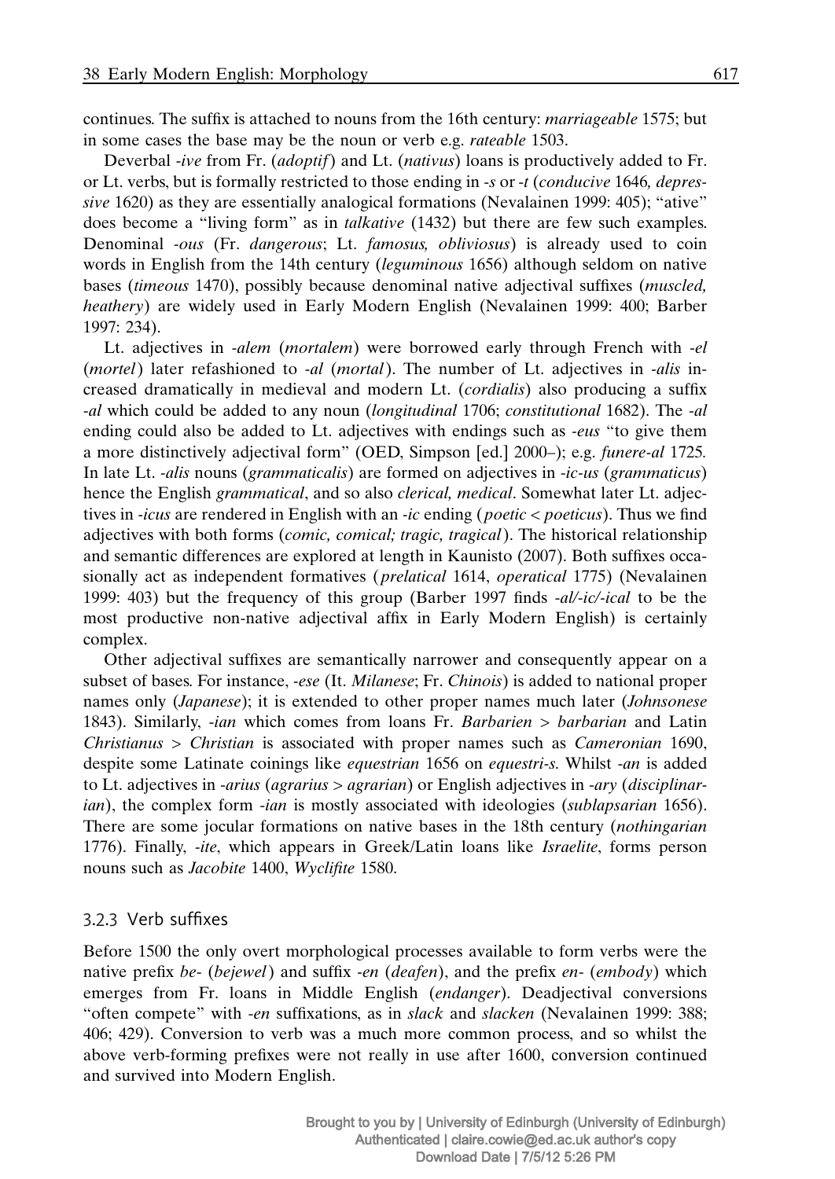continues. The suffix is attached to nouns from the 16th century: marriageable 1575; but in some cases the base may be the noun or verb e.g. rateable 1503.

Deverbal -ive from Fr. (adoptif) and Lt. (nativus) loans is productively added to Fr. or Lt. verbs, but is formally restricted to those ending in  $- s$  or  $- t$  (conducive 1646, depressive 1620) as they are essentially analogical formations (Nevalainen 1999: 405); "ative" does become a "living form" as in talkative (1432) but there are few such examples. Denominal -ous (Fr. dangerous; Lt. famosus, obliviosus) is already used to coin words in English from the 14th century *(leguminous* 1656) although seldom on native bases (timeous 1470), possibly because denominal native adjectival suffixes (muscled, heathery) are widely used in Early Modern English (Nevalainen 1999: 400; Barber 1997: 234).

Lt. adjectives in *-alem* (*mortalem*) were borrowed early through French with *-el* (*mortel*) later refashioned to *-al* (*mortal*). The number of Lt. adjectives in *-alis* increased dramatically in medieval and modern Lt. (cordialis) also producing a suffix -al which could be added to any noun *(longitudinal* 1706; *constitutional* 1682). The -al ending could also be added to Lt. adjectives with endings such as *-eus* "to give them a more distinctively adjectival form" (OED, Simpson [ed.] 2000–); e.g. funere-al 1725. In late Lt. -alis nouns (grammaticalis) are formed on adjectives in -ic-us (grammaticus) hence the English *grammatical*, and so also *clerical, medical*. Somewhat later Lt. adjectives in -icus are rendered in English with an -ic ending (*poetic* < *poeticus*). Thus we find adjectives with both forms (comic, comical; tragic, tragical). The historical relationship and semantic differences are explored at length in Kaunisto (2007). Both suffixes occasionally act as independent formatives (prelatical 1614, operatical 1775) (Nevalainen 1999: 403) but the frequency of this group (Barber 1997 finds -al/-ic/-ical to be the most productive non-native adjectival affix in Early Modern English) is certainly complex.

Other adjectival suffixes are semantically narrower and consequently appear on a subset of bases. For instance, *-ese* (It. *Milanese*; Fr. *Chinois*) is added to national proper names only (Japanese); it is extended to other proper names much later (Johnsonese 1843). Similarly, *-ian* which comes from loans Fr. Barbarien > barbarian and Latin Christianus > Christian is associated with proper names such as Cameronian 1690, despite some Latinate coinings like *equestrian* 1656 on *equestri-s*. Whilst *-an* is added to Lt. adjectives in -arius (agrarius > agrarian) or English adjectives in -ary (disciplinarian), the complex form -ian is mostly associated with ideologies (sublapsarian 1656). There are some jocular formations on native bases in the 18th century *(nothingarian*) 1776). Finally, *-ite*, which appears in Greek/Latin loans like *Israelite*, forms person nouns such as *Jacobite* 1400, Wyclifite 1580.

#### 3.2.3 Verb suffixes

Before 1500 the only overt morphological processes available to form verbs were the native prefix be- (bejewel) and suffix -en (deafen), and the prefix en- (embody) which emerges from Fr. loans in Middle English *(endanger)*. Deadjectival conversions "often compete" with -en suffixations, as in slack and slacken (Nevalainen 1999: 388; 406; 429). Conversion to verb was a much more common process, and so whilst the above verb-forming prefixes were not really in use after 1600, conversion continued and survived into Modern English.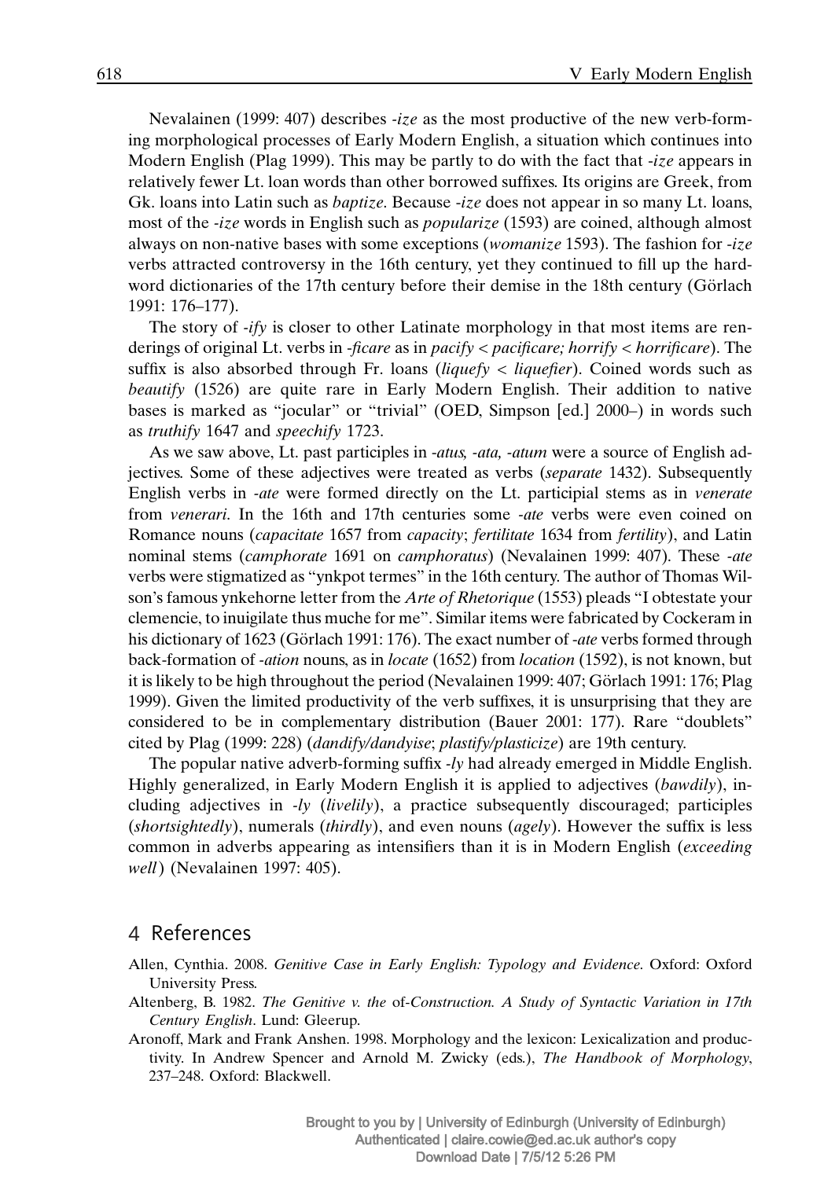Nevalainen (1999: 407) describes  $-ize$  as the most productive of the new verb-forming morphological processes of Early Modern English, a situation which continues into Modern English (Plag 1999). This may be partly to do with the fact that -ize appears in relatively fewer Lt. loan words than other borrowed suffixes. Its origins are Greek, from Gk. loans into Latin such as *baptize*. Because *-ize* does not appear in so many Lt. loans, most of the *-ize* words in English such as *popularize* (1593) are coined, although almost always on non-native bases with some exceptions (*womanize* 1593). The fashion for  $-ize$ verbs attracted controversy in the 16th century, yet they continued to fill up the hardword dictionaries of the 17th century before their demise in the 18th century (Görlach 1991: 176–177).

The story of -ify is closer to other Latinate morphology in that most items are renderings of original Lt. verbs in -ficare as in pacify  $\langle$  pacificare; horrify  $\langle$  horrificare). The suffix is also absorbed through Fr. loans *(liquefy < liquefier)*. Coined words such as beautify (1526) are quite rare in Early Modern English. Their addition to native bases is marked as "jocular" or "trivial" (OED, Simpson [ed.] 2000–) in words such as truthify 1647 and speechify 1723.

As we saw above, Lt. past participles in -atus, -ata, -atum were a source of English adjectives. Some of these adjectives were treated as verbs (separate 1432). Subsequently English verbs in -ate were formed directly on the Lt. participial stems as in venerate from *venerari*. In the 16th and 17th centuries some *-ate* verbs were even coined on Romance nouns (capacitate 1657 from capacity; fertilitate 1634 from fertility), and Latin nominal stems (camphorate 1691 on camphoratus) (Nevalainen 1999: 407). These -ate verbs were stigmatized as "ynkpot termes" in the 16th century. The author of Thomas Wilson's famous ynkehorne letter from the Arte of Rhetorique (1553) pleads "I obtestate your clemencie, to inuigilate thus muche for me". Similar items were fabricated by Cockeram in his dictionary of 1623 (Görlach 1991: 176). The exact number of -ate verbs formed through back-formation of -ation nouns, as in locate (1652) from location (1592), is not known, but it is likely to be high throughout the period (Nevalainen 1999: 407; Görlach 1991: 176; Plag 1999). Given the limited productivity of the verb suffixes, it is unsurprising that they are considered to be in complementary distribution (Bauer 2001: 177). Rare "doublets" cited by Plag (1999: 228) (dandify/dandyise; plastify/plasticize) are 19th century.

The popular native adverb-forming suffix -ly had already emerged in Middle English. Highly generalized, in Early Modern English it is applied to adjectives (bawdily), including adjectives in -ly (livelily), a practice subsequently discouraged; participles (shortsightedly), numerals (thirdly), and even nouns (agely). However the suffix is less common in adverbs appearing as intensifiers than it is in Modern English (exceeding well) (Nevalainen 1997: 405).

#### 4 References

Allen, Cynthia. 2008. Genitive Case in Early English: Typology and Evidence. Oxford: Oxford University Press.

Altenberg, B. 1982. The Genitive v. the of-Construction. A Study of Syntactic Variation in 17th Century English. Lund: Gleerup.

Aronoff, Mark and Frank Anshen. 1998. Morphology and the lexicon: Lexicalization and productivity. In Andrew Spencer and Arnold M. Zwicky (eds.), The Handbook of Morphology, 237–248. Oxford: Blackwell.

> Brought to you by | University of Edinburgh (University of Edinburgh) Authenticated | claire.cowie@ed.ac.uk author's copy Download Date | 7/5/12 5:26 PM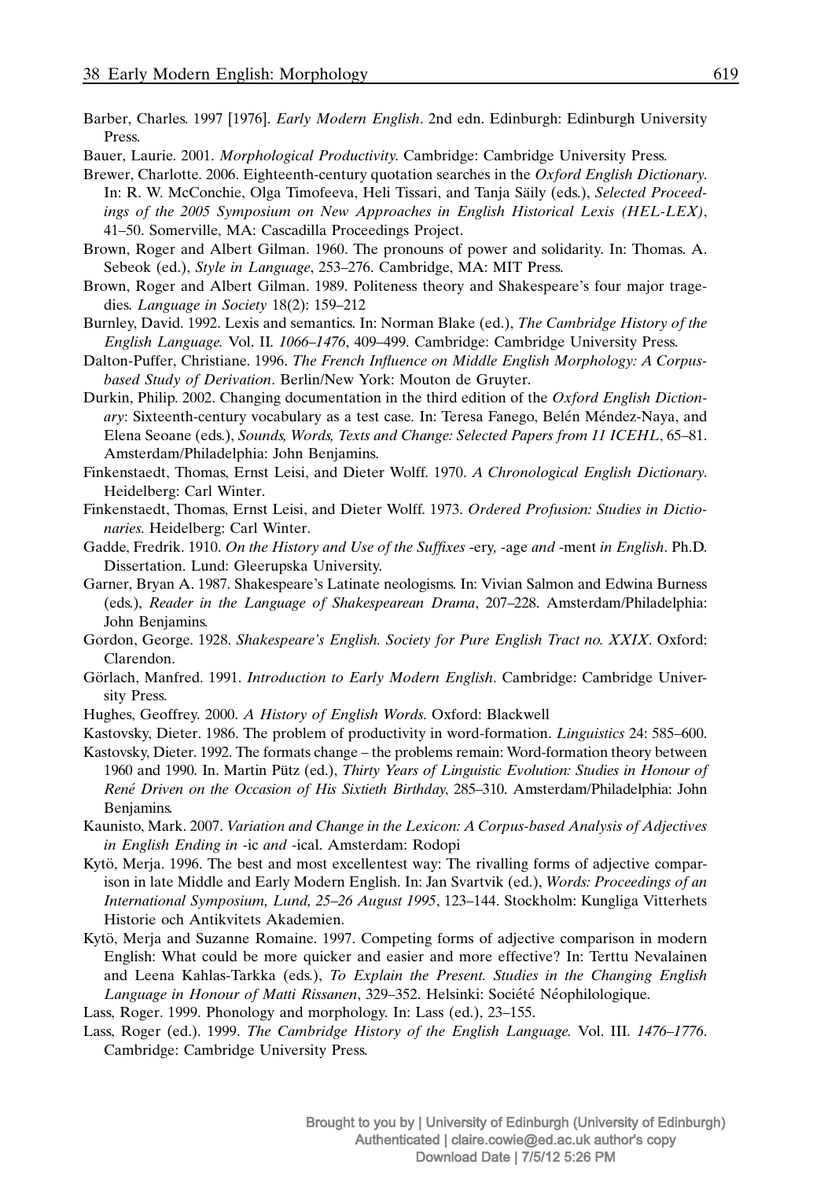- Barber, Charles. 1997 [1976]. Early Modern English. 2nd edn. Edinburgh: Edinburgh University Press.
- Bauer, Laurie. 2001. Morphological Productivity. Cambridge: Cambridge University Press.
- Brewer, Charlotte. 2006. Eighteenth-century quotation searches in the Oxford English Dictionary. In: R. W. McConchie, Olga Timofeeva, Heli Tissari, and Tanja Säily (eds.), Selected Proceedings of the 2005 Symposium on New Approaches in English Historical Lexis (HEL-LEX), 41–50. Somerville, MA: Cascadilla Proceedings Project.
- Brown, Roger and Albert Gilman. 1960. The pronouns of power and solidarity. In: Thomas. A. Sebeok (ed.), Style in Language, 253–276. Cambridge, MA: MIT Press.
- Brown, Roger and Albert Gilman. 1989. Politeness theory and Shakespeare's four major tragedies. Language in Society 18(2): 159–212
- Burnley, David. 1992. Lexis and semantics. In: Norman Blake (ed.), The Cambridge History of the English Language. Vol. II. 1066–1476, 409–499. Cambridge: Cambridge University Press.
- Dalton-Puffer, Christiane. 1996. The French Influence on Middle English Morphology: A Corpusbased Study of Derivation. Berlin/New York: Mouton de Gruyter.
- Durkin, Philip. 2002. Changing documentation in the third edition of the Oxford English Dictionary: Sixteenth-century vocabulary as a test case. In: Teresa Fanego, Belén Méndez-Naya, and Elena Seoane (eds.), Sounds, Words, Texts and Change: Selected Papers from 11 ICEHL, 65–81. Amsterdam/Philadelphia: John Benjamins.
- Finkenstaedt, Thomas, Ernst Leisi, and Dieter Wolff. 1970. A Chronological English Dictionary. Heidelberg: Carl Winter.
- Finkenstaedt, Thomas, Ernst Leisi, and Dieter Wolff. 1973. Ordered Profusion: Studies in Dictionaries. Heidelberg: Carl Winter.
- Gadde, Fredrik. 1910. On the History and Use of the Suffixes -ery, -age and -ment in English. Ph.D. Dissertation. Lund: Gleerupska University.
- Garner, Bryan A. 1987. Shakespeare's Latinate neologisms. In: Vivian Salmon and Edwina Burness (eds.), Reader in the Language of Shakespearean Drama, 207–228. Amsterdam/Philadelphia: John Benjamins.
- Gordon, George. 1928. Shakespeare's English. Society for Pure English Tract no. XXIX. Oxford: Clarendon.
- Görlach, Manfred. 1991. Introduction to Early Modern English. Cambridge: Cambridge University Press.
- Hughes, Geoffrey. 2000. A History of English Words. Oxford: Blackwell
- Kastovsky, Dieter. 1986. The problem of productivity in word-formation. Linguistics 24: 585–600.
- Kastovsky, Dieter. 1992. The formats change the problems remain: Word-formation theory between 1960 and 1990. In. Martin Pütz (ed.), Thirty Years of Linguistic Evolution: Studies in Honour of René Driven on the Occasion of His Sixtieth Birthday, 285-310. Amsterdam/Philadelphia: John Benjamins.
- Kaunisto, Mark. 2007. Variation and Change in the Lexicon: A Corpus-based Analysis of Adjectives in English Ending in -ic and -ical. Amsterdam: Rodopi
- Kytö, Merja. 1996. The best and most excellentest way: The rivalling forms of adjective comparison in late Middle and Early Modern English. In: Jan Svartvik (ed.), Words: Proceedings of an International Symposium, Lund, 25–26 August 1995, 123–144. Stockholm: Kungliga Vitterhets Historie och Antikvitets Akademien.
- Kytö, Merja and Suzanne Romaine. 1997. Competing forms of adjective comparison in modern English: What could be more quicker and easier and more effective? In: Terttu Nevalainen and Leena Kahlas-Tarkka (eds.), To Explain the Present. Studies in the Changing English Language in Honour of Matti Rissanen, 329–352. Helsinki: Société Néophilologique.

Lass, Roger. 1999. Phonology and morphology. In: Lass (ed.), 23–155.

Lass, Roger (ed.). 1999. The Cambridge History of the English Language. Vol. III. 1476–1776. Cambridge: Cambridge University Press.